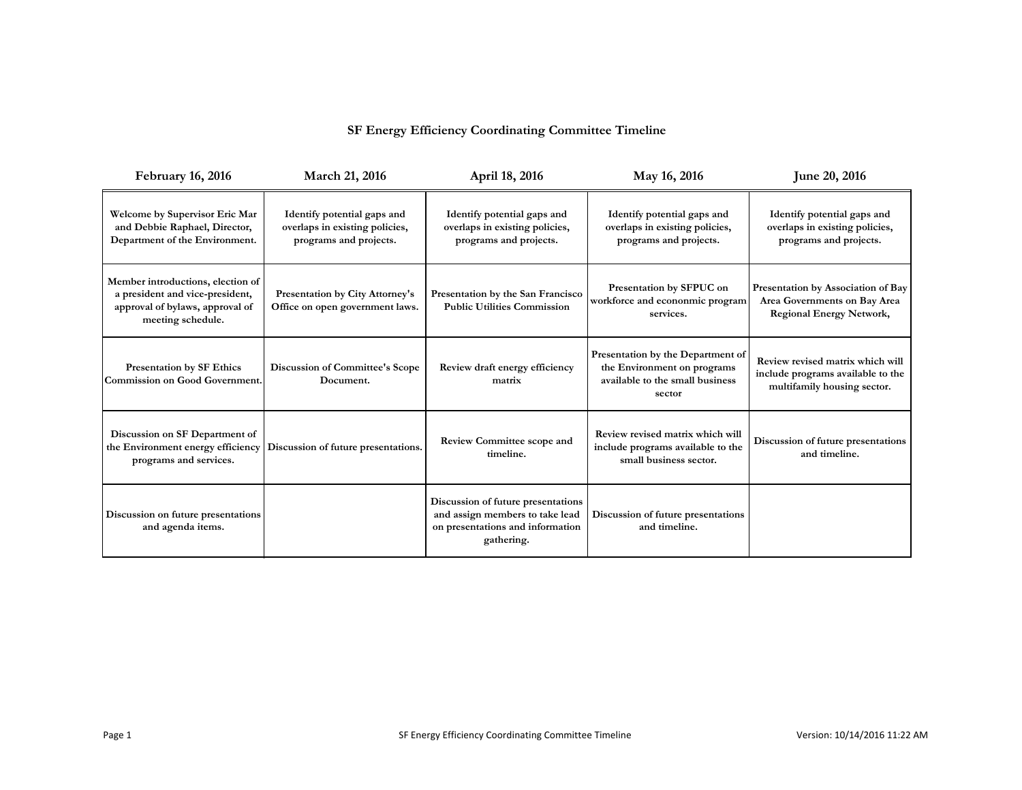## **SF Energy Efficiency Coordinating Committee Timeline**

| <b>February 16, 2016</b>                                                                                                     | <b>March 21, 2016</b>                                                                   | April 18, 2016                                                                                                                                      | May 16, 2016                                                                                                  | June 20, 2016                                                                                         |
|------------------------------------------------------------------------------------------------------------------------------|-----------------------------------------------------------------------------------------|-----------------------------------------------------------------------------------------------------------------------------------------------------|---------------------------------------------------------------------------------------------------------------|-------------------------------------------------------------------------------------------------------|
| Welcome by Supervisor Eric Mar<br>and Debbie Raphael, Director,<br>Department of the Environment.                            | Identify potential gaps and<br>overlaps in existing policies,<br>programs and projects. | Identify potential gaps and<br>overlaps in existing policies,<br>programs and projects.                                                             | Identify potential gaps and<br>overlaps in existing policies,<br>programs and projects.                       | Identify potential gaps and<br>overlaps in existing policies,<br>programs and projects.               |
| Member introductions, election of<br>a president and vice-president,<br>approval of bylaws, approval of<br>meeting schedule. | <b>Presentation by City Attorney's</b><br>Office on open government laws.               | Presentation by SFPUC on<br>Presentation by the San Francisco<br>workforce and econonmic program<br><b>Public Utilities Commission</b><br>services. |                                                                                                               | Presentation by Association of Bay<br>Area Governments on Bay Area<br><b>Regional Energy Network,</b> |
| <b>Presentation by SF Ethics</b><br><b>Commission on Good Government.</b>                                                    | <b>Discussion of Committee's Scope</b><br>Document.                                     | Review draft energy efficiency<br>matrix                                                                                                            | Presentation by the Department of<br>the Environment on programs<br>available to the small business<br>sector | Review revised matrix which will<br>include programs available to the<br>multifamily housing sector.  |
| Discussion on SF Department of<br>the Environment energy efficiency<br>programs and services.                                | Discussion of future presentations.                                                     | <b>Review Committee scope and</b><br>timeline.                                                                                                      | Review revised matrix which will<br>include programs available to the<br>small business sector.               | Discussion of future presentations<br>and timeline.                                                   |
| Discussion on future presentations<br>and agenda items.                                                                      |                                                                                         | Discussion of future presentations<br>and assign members to take lead<br>on presentations and information<br>gathering.                             | Discussion of future presentations<br>and timeline.                                                           |                                                                                                       |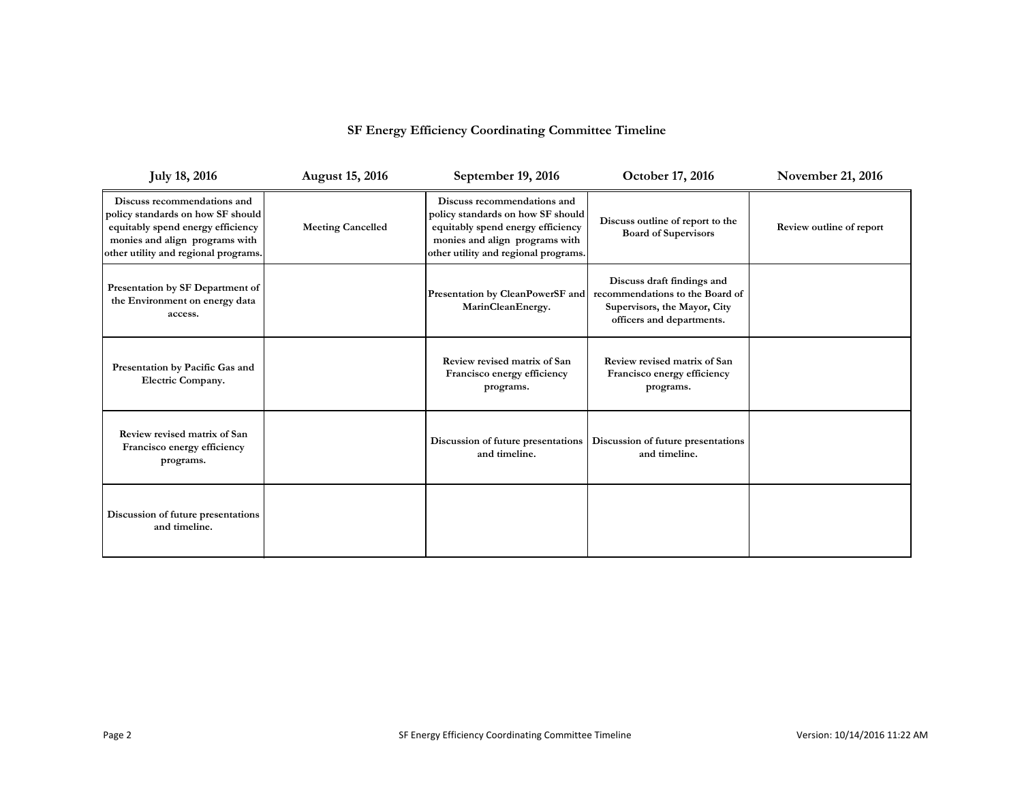## **SF Energy Efficiency Coordinating Committee Timeline**

| <b>July 18, 2016</b>                                                                                                                                                            | <b>August 15, 2016</b>   | September 19, 2016                                                                                                                                                              | October 17, 2016                                                                                                           | <b>November 21, 2016</b> |
|---------------------------------------------------------------------------------------------------------------------------------------------------------------------------------|--------------------------|---------------------------------------------------------------------------------------------------------------------------------------------------------------------------------|----------------------------------------------------------------------------------------------------------------------------|--------------------------|
| Discuss recommendations and<br>policy standards on how SF should<br>equitably spend energy efficiency<br>monies and align programs with<br>other utility and regional programs. | <b>Meeting Cancelled</b> | Discuss recommendations and<br>policy standards on how SF should<br>equitably spend energy efficiency<br>monies and align programs with<br>other utility and regional programs. | Discuss outline of report to the<br><b>Board of Supervisors</b>                                                            | Review outline of report |
| Presentation by SF Department of<br>the Environment on energy data<br>access.                                                                                                   |                          | Presentation by CleanPowerSF and<br>MarinCleanEnergy.                                                                                                                           | Discuss draft findings and<br>recommendations to the Board of<br>Supervisors, the Mayor, City<br>officers and departments. |                          |
| Presentation by Pacific Gas and<br>Electric Company.                                                                                                                            |                          | Review revised matrix of San<br>Francisco energy efficiency<br>programs.                                                                                                        | Review revised matrix of San<br>Francisco energy efficiency<br>programs.                                                   |                          |
| Review revised matrix of San<br>Francisco energy efficiency<br>programs.                                                                                                        |                          | Discussion of future presentations<br>and timeline.                                                                                                                             | Discussion of future presentations<br>and timeline.                                                                        |                          |
| Discussion of future presentations<br>and timeline.                                                                                                                             |                          |                                                                                                                                                                                 |                                                                                                                            |                          |